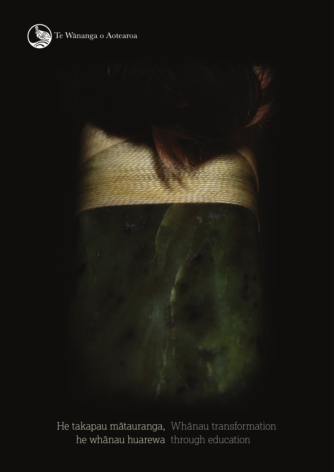



He takapau mātauranga, Whānau transformation he whānau huarewa through education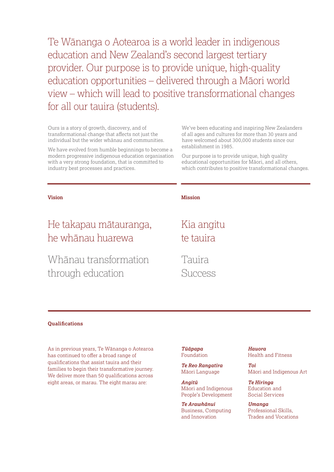Te Wānanga o Aotearoa is a world leader in indigenous education and New Zealand's second largest tertiary provider. Our purpose is to provide unique, high-quality education opportunities – delivered through a Māori world view – which will lead to positive transformational changes for all our tauira (students).

Ours is a story of growth, discovery, and of transformational change that affects not just the individual but the wider whānau and communities.

We have evolved from humble beginnings to become a modern progressive indigenous education organisation with a very strong foundation, that is committed to industry best processes and practices.

We've been educating and inspiring New Zealanders of all ages and cultures for more than 30 years and have welcomed about 300,000 students since our establishment in 1985.

Our purpose is to provide unique, high quality educational opportunities for Māori, and all others, which contributes to positive transformational changes.

# He takapau mātauranga, he whānau huarewa

Whānau transformation through education

#### **Vision Mission**

## Kia angitu te tauira

Tauira Success

#### **Qualifications**

As in previous years, Te Wānanga o Aotearoa has continued to offer a broad range of qualifications that assist tauira and their families to begin their transformative journey. We deliver more than 50 qualifications across eight areas, or marau. The eight marau are:

*Tūāpapa* Foundation

*Te Reo Rangatira* Māori Language

*Angitū* Māori and Indigenous People's Development

*Te Arawhānui* Business, Computing and Innovation

*Hauora* Health and Fitness

*Toi* Māori and Indigenous Art

*Te Hiringa* Education and Social Services

*Umanga* Professional Skills, Trades and Vocations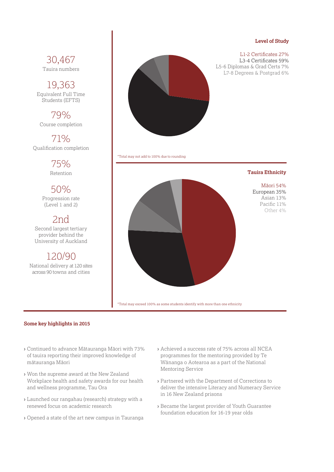#### **Level of Study**

## 30,467 Tauira numbers

19,363 Equivalent Full Time Students (EFTS)

79% Course completion

71% Qualification completion

> 75% Retention

50% Progression rate (Level 1 and 2)

2nd Second largest tertiary provider behind the University of Auckland

120/90 National delivery at 120 sites across 90 towns and cities



\*Total may not add to 100% due to rounding



\*Total may exceed 100% as some students identify with more than one ethnicity

#### **Some key highlights in 2015**

- **›** Continued to advance Mātauranga Māori with 73% of tauira reporting their improved knowledge of mātauranga Māori
- **›** Won the supreme award at the New Zealand Workplace health and safety awards for our health and wellness programme, Tau Ora
- **›** Launched our rangahau (research) strategy with a renewed focus on academic research
- **›** Opened a state of the art new campus in Tauranga
- **›** Achieved a success rate of 75% across all NCEA programmes for the mentoring provided by Te Wānanga o Aotearoa as a part of the National Mentoring Service
- **›** Partnered with the Department of Corrections to deliver the intensive Literacy and Numeracy Service in 16 New Zealand prisons
- **›** Became the largest provider of Youth Guarantee foundation education for 16-19 year olds

### L1-2 Certificates 27% L3-4 Certificates 59%

L5-6 Diplomas & Grad Certs 7% L7-8 Degrees & Postgrad 6%